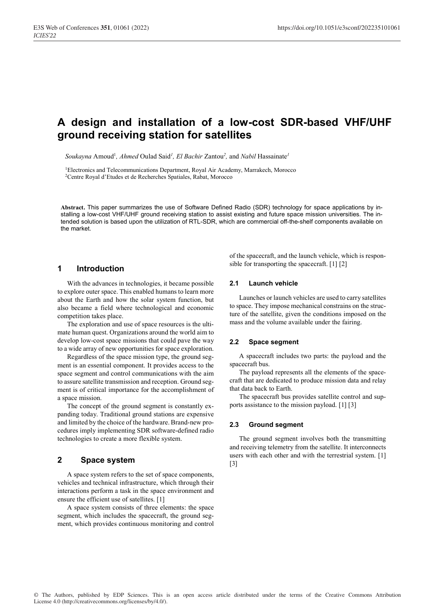# **A design and installation of a low-cost SDR-based VHF/UHF ground receiving station for satellites**

Soukayna Amoud<sup>1</sup>, Ahmed Oulad Said<sup>1</sup>, El Bachir Zantou<sup>2</sup>, and Nabil Hassainate<sup>1</sup>

1 Electronics and Telecommunications Department, Royal Air Academy, Marrakech, Morocco 2 Centre Royal d'Etudes et de Recherches Spatiales, Rabat, Morocco

**Abstract.** This paper summarizes the use of Software Defined Radio (SDR) technology for space applications by installing a low-cost VHF/UHF ground receiving station to assist existing and future space mission universities. The intended solution is based upon the utilization of RTL-SDR, which are commercial off-the-shelf components available on the market.

### **1 Introduction**

With the advances in technologies, it became possible to explore outer space. This enabled humans to learn more about the Earth and how the solar system function, but also became a field where technological and economic competition takes place.

The exploration and use of space resources is the ultimate human quest. Organizations around the world aim to develop low-cost space missions that could pave the way to a wide array of new opportunities for space exploration.

Regardless of the space mission type, the ground segment is an essential component. It provides access to the space segment and control communications with the aim to assure satellite transmission and reception. Ground segment is of critical importance for the accomplishment of a space mission.

The concept of the ground segment is constantly expanding today. Traditional ground stations are expensive and limited by the choice of the hardware. Brand-new procedures imply implementing SDR software-defined radio technologies to create a more flexible system.

# **2 Space system**

A space system refers to the set of space components, vehicles and technical infrastructure, which through their interactions perform a task in the space environment and ensure the efficient use of satellites. [1]

A space system consists of three elements: the space segment, which includes the spacecraft, the ground segment, which provides continuous monitoring and control of the spacecraft, and the launch vehicle, which is responsible for transporting the spacecraft. [1] [2]

### **2.1 Launch vehicle**

Launches or launch vehicles are used to carry satellites to space. They impose mechanical constrains on the structure of the satellite, given the conditions imposed on the mass and the volume available under the fairing.

#### **2.2 Space segment**

A spacecraft includes two parts: the payload and the spacecraft bus.

The payload represents all the elements of the spacecraft that are dedicated to produce mission data and relay that data back to Earth.

The spacecraft bus provides satellite control and supports assistance to the mission payload. [1] [3]

#### **2.3 Ground segment**

The ground segment involves both the transmitting and receiving telemetry from the satellite. It interconnects users with each other and with the terrestrial system. [1] [3]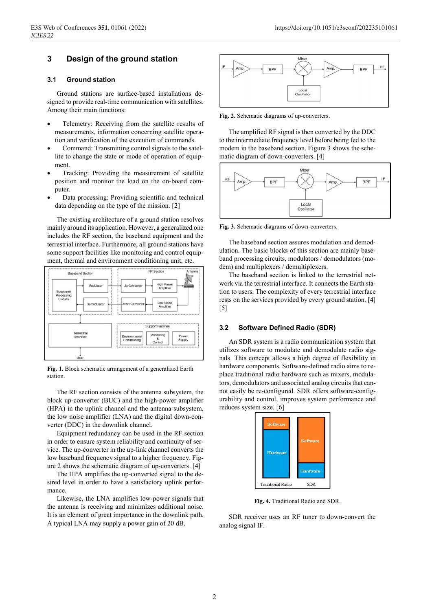# **3 Design of the ground station**

#### **3.1 Ground station**

Ground stations are surface-based installations designed to provide real-time communication with satellites. Among their main functions:

- Telemetry: Receiving from the satellite results of measurements, information concerning satellite operation and verification of the execution of commands.
- Command: Transmitting control signals to the satellite to change the state or mode of operation of equipment.
- Tracking: Providing the measurement of satellite position and monitor the load on the on-board computer.
- Data processing: Providing scientific and technical data depending on the type of the mission. [2]

The existing architecture of a ground station resolves mainly around its application. However, a generalized one includes the RF section, the baseband equipment and the terrestrial interface. Furthermore, all ground stations have some support facilities like monitoring and control equipment, thermal and environment conditioning unit, etc.



**Fig. 1.** Block schematic arrangement of a generalized Earth station.

The RF section consists of the antenna subsystem, the block up-converter (BUC) and the high-power amplifier (HPA) in the uplink channel and the antenna subsystem, the low noise amplifier (LNA) and the digital down-converter (DDC) in the downlink channel.

Equipment redundancy can be used in the RF section in order to ensure system reliability and continuity of service. The up-converter in the up-link channel converts the low baseband frequency signal to a higher frequency. Figure 2 shows the schematic diagram of up-converters. [4]

The HPA amplifies the up-converted signal to the desired level in order to have a satisfactory uplink performance.

Likewise, the LNA amplifies low-power signals that the antenna is receiving and minimizes additional noise. It is an element of great importance in the downlink path. A typical LNA may supply a power gain of 20 dB.



**Fig. 2.** Schematic diagrams of up-converters.

The amplified RF signal is then converted by the DDC to the intermediate frequency level before being fed to the modem in the baseband section. Figure 3 shows the schematic diagram of down-converters. [4]



**Fig. 3.** Schematic diagrams of down-converters.

The baseband section assures modulation and demodulation. The basic blocks of this section are mainly baseband processing circuits, modulators / demodulators (modem) and multiplexers / demultiplexers.

The baseband section is linked to the terrestrial network via the terrestrial interface. It connects the Earth station to users. The complexity of every terrestrial interface rests on the services provided by every ground station. [4]  $[5]$ 

#### **3.2 Software Defined Radio (SDR)**

An SDR system is a radio communication system that utilizes software to modulate and demodulate radio signals. This concept allows a high degree of flexibility in hardware components. Software-defined radio aims to replace traditional radio hardware such as mixers, modulators, demodulators and associated analog circuits that cannot easily be re-configured. SDR offers software-configurability and control, improves system performance and reduces system size. [6]



**Fig. 4.** Traditional Radio and SDR.

SDR receiver uses an RF tuner to down-convert the analog signal IF.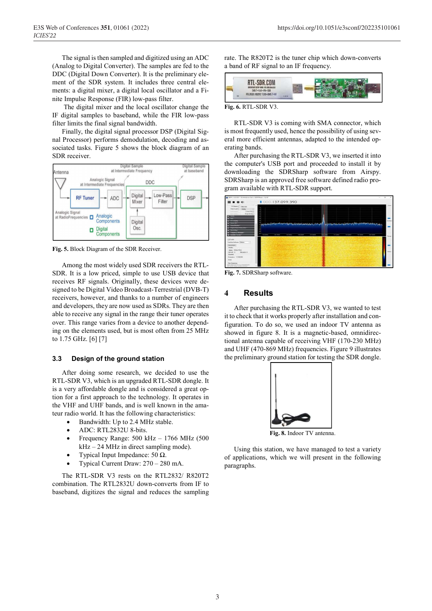The signal is then sampled and digitized using an ADC (Analog to Digital Converter). The samples are fed to the DDC (Digital Down Converter). It is the preliminary element of the SDR system. It includes three central elements: a digital mixer, a digital local oscillator and a Finite Impulse Response (FIR) low-pass filter.

 The digital mixer and the local oscillator change the IF digital samples to baseband, while the FIR low-pass filter limits the final signal bandwidth.

Finally, the digital signal processor DSP (Digital Signal Processor) performs demodulation, decoding and associated tasks. Figure 5 shows the block diagram of an SDR receiver.



**Fig. 5.** Block Diagram of the SDR Receiver.

Among the most widely used SDR receivers the RTL-SDR. It is a low priced, simple to use USB device that receives RF signals. Originally, these devices were designed to be Digital Video Broadcast-Terrestrial (DVB-T) receivers, however, and thanks to a number of engineers and developers, they are now used as SDRs. They are then able to receive any signal in the range their tuner operates over. This range varies from a device to another depending on the elements used, but is most often from 25 MHz to 1.75 GHz. [6] [7]

#### **3.3 Design of the ground station**

After doing some research, we decided to use the RTL-SDR V3, which is an upgraded RTL-SDR dongle. It is a very affordable dongle and is considered a great option for a first approach to the technology. It operates in the VHF and UHF bands, and is well known in the amateur radio world. It has the following characteristics:

- Bandwidth: Up to 2.4 MHz stable.
- ADC: RTL2832U 8-bits.
- Frequency Range: 500 kHz 1766 MHz (500  $kHz - 24 MHz$  in direct sampling mode).
- Typical Input Impedance: 50 Ω.
- Typical Current Draw: 270 280 mA.

The RTL-SDR V3 rests on the RTL2832/ R820T2 combination. The RTL2832U down-converts from IF to baseband, digitizes the signal and reduces the sampling rate. The R820T2 is the tuner chip which down-converts a band of RF signal to an IF frequency.



**Fig. 6.** RTL-SDR V3.

RTL-SDR V3 is coming with SMA connector, which is most frequently used, hence the possibility of using several more efficient antennas, adapted to the intended operating bands.

After purchasing the RTL-SDR V3, we inserted it into the computer's USB port and proceeded to install it by downloading the SDRSharp software from Airspy. SDRSharp is an approved free software defined radio program available with RTL-SDR support.



**Fig. 7.** SDRSharp software.

### **4 Results**

After purchasing the RTL-SDR V3, we wanted to test it to check that it works properly after installation and configuration. To do so, we used an indoor TV antenna as showed in figure 8. It is a magnetic-based, omnidirectional antenna capable of receiving VHF (170-230 MHz) and UHF (470-869 MHz) frequencies. Figure 9 illustrates the preliminary ground station for testing the SDR dongle.



**Fig. 8.** Indoor TV antenna.

Using this station, we have managed to test a variety of applications, which we will present in the following paragraphs.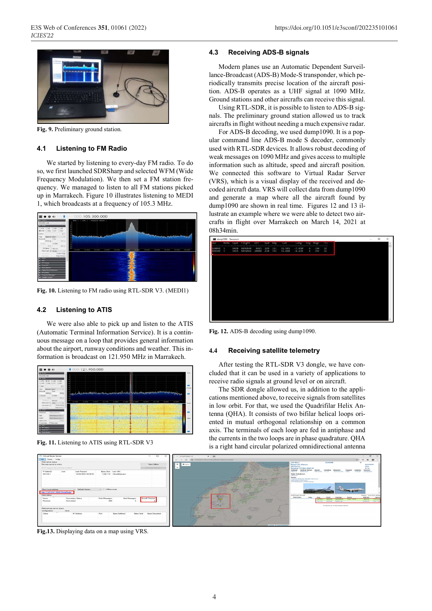

**Fig. 9.** Preliminary ground station.

#### **4.1 Listening to FM Radio**

We started by listening to every-day FM radio. To do so, we first launched SDRSharp and selected WFM (Wide Frequency Modulation). We then set a FM station frequency. We managed to listen to all FM stations picked up in Marrakech. Figure 10 illustrates listening to MEDI 1, which broadcasts at a frequency of 105.3 MHz.



**Fig. 10.** Listening to FM radio using RTL-SDR V3. (MEDI1)

## **4.2 Listening to ATIS**

We were also able to pick up and listen to the ATIS (Automatic Terminal Information Service). It is a continuous message on a loop that provides general information about the airport, runway conditions and weather. This information is broadcast on 121.950 MHz in Marrakech.



**Fig. 11.** Listening to ATIS using RTL-SDR V3



**Fig.13.** Displaying data on a map using VRS.

#### **4.3 Receiving ADS-B signals**

Modern planes use an Automatic Dependent Surveillance-Broadcast (ADS-B) Mode-S transponder, which periodically transmits precise location of the aircraft position. ADS-B operates as a UHF signal at 1090 MHz. Ground stations and other aircrafts can receive this signal.

Using RTL-SDR, it is possible to listen to ADS-B signals. The preliminary ground station allowed us to track aircrafts in flight without needing a much expensive radar.

For ADS-B decoding, we used dump1090. It is a popular command line ADS-B mode S decoder, commonly used with RTL-SDR devices. It allows robust decoding of weak messages on 1090 MHz and gives access to multiple information such as altitude, speed and aircraft position. We connected this software to Virtual Radar Server (VRS), which is a visual display of the received and decoded aircraft data. VRS will collect data from dump1090 and generate a map where all the aircraft found by dump1090 are shown in real time. Figures 12 and 13 illustrate an example where we were able to detect two aircrafts in flight over Marrakech on March 14, 2021 at 08h34min.



**Fig. 12.** ADS-B decoding using dump1090.

#### **4.4 Receiving satellite telemetry**

After testing the RTL-SDR V3 dongle, we have concluded that it can be used in a variety of applications to receive radio signals at ground level or on aircraft.

The SDR dongle allowed us, in addition to the applications mentioned above, to receive signals from satellites in low orbit. For that, we used the Quadrifilar Helix Antenna (QHA). It consists of two bifilar helical loops oriented in mutual orthogonal relationship on a common axis. The terminals of each loop are fed in antiphase and the currents in the two loops are in phase quadrature. QHA is a right hand circular polarized omnidirectional antenna

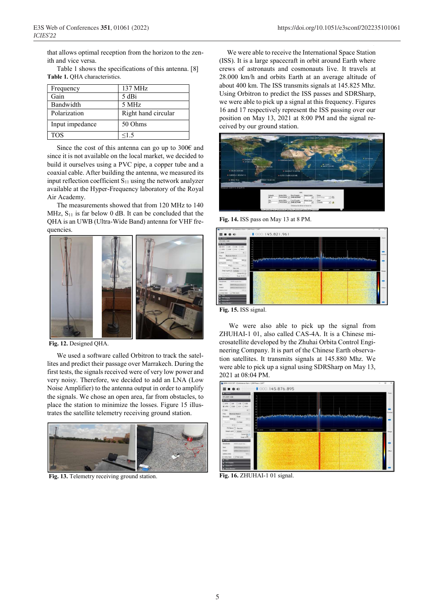that allows optimal reception from the horizon to the zenith and vice versa.

Table 1 shows the specifications of this antenna. [8] **Table 1.** QHA characteristics.

| Frequency       | $137 \mathrm{MHz}$  |
|-----------------|---------------------|
| Gain            | 5 dBi               |
| Bandwidth       | 5 MHz               |
| Polarization    | Right hand circular |
| Input impedance | 50 Ohms             |
| <b>TOS</b>      | <1.5                |

Since the cost of this antenna can go up to 300€ and since it is not available on the local market, we decided to build it ourselves using a PVC pipe, a copper tube and a coaxial cable. After building the antenna, we measured its input reflection coefficient  $S_{11}$  using the network analyzer available at the Hyper-Frequency laboratory of the Royal Air Academy.

The measurements showed that from 120 MHz to 140 MHz,  $S_{11}$  is far below 0 dB. It can be concluded that the QHA is an UWB (Ultra-Wide Band) antenna for VHF frequencies.



 **Fig. 12.** Designed QHA.

We used a software called Orbitron to track the satellites and predict their passage over Marrakech. During the first tests, the signals received were of very low power and very noisy. Therefore, we decided to add an LNA (Low Noise Amplifier) to the antenna output in order to amplify the signals. We chose an open area, far from obstacles, to place the station to minimize the losses. Figure 15 illustrates the satellite telemetry receiving ground station.



 **Fig. 13.** Telemetry receiving ground station.

5

We were able to receive the International Space Station (ISS). It is a large spacecraft in orbit around Earth where crews of astronauts and cosmonauts live. It travels at 28.000 km/h and orbits Earth at an average altitude of about 400 km. The ISS transmits signals at 145.825 Mhz. Using Orbitron to predict the ISS passes and SDRSharp, we were able to pick up a signal at this frequency. Figures 16 and 17 respectively represent the ISS passing over our position on May 13, 2021 at 8:00 PM and the signal received by our ground station.



**Fig. 14.** ISS pass on May 13 at 8 PM.



**Fig. 15.** ISS signal.

We were also able to pick up the signal from ZHUHAI-1 01, also called CAS-4A. It is a Chinese microsatellite developed by the Zhuhai Orbita Control Engineering Company. It is part of the Chinese Earth observation satellites. It transmits signals at 145.880 Mhz. We were able to pick up a signal using SDRSharp on May 13, 2021 at 08:04 PM.



**Fig. 16.** ZHUHAI-1 01 signal.